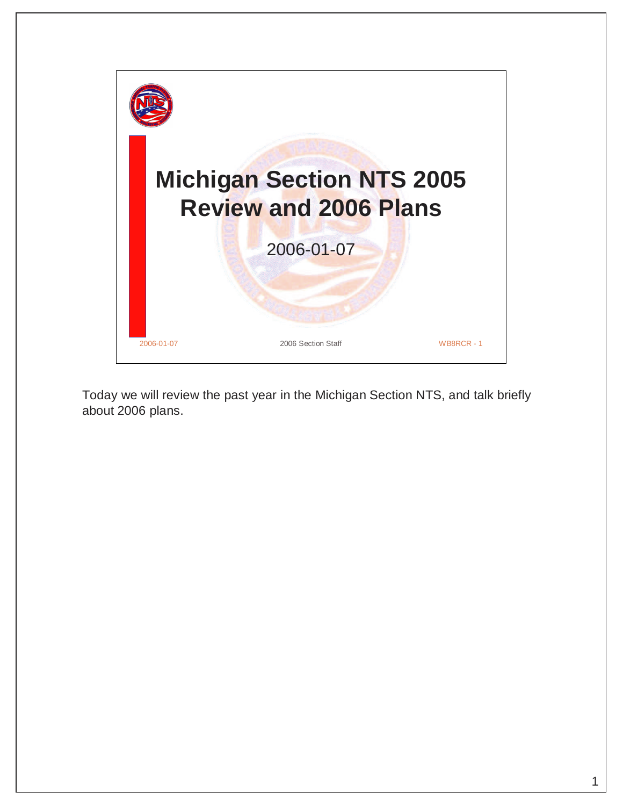

Today we will review the past year in the Michigan Section NTS, and talk briefly about 2006 plans.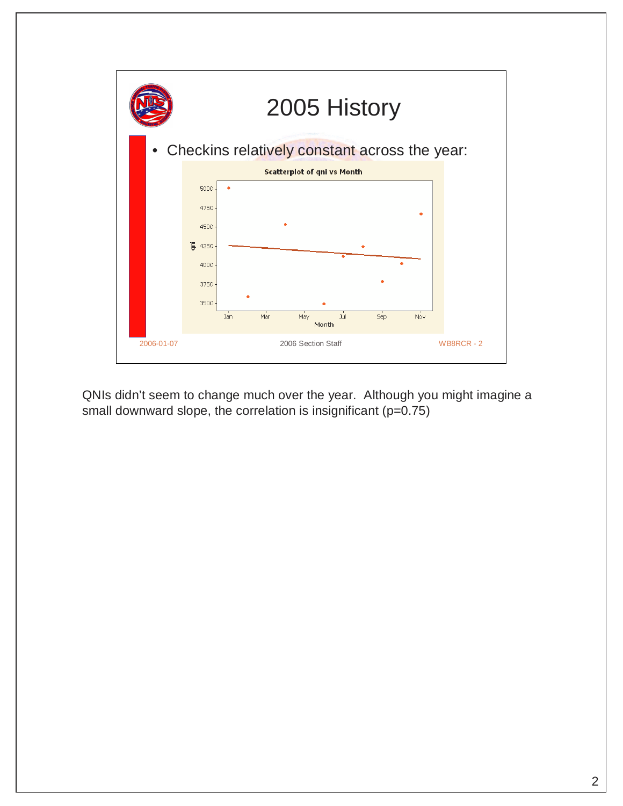

QNIs didn't seem to change much over the year. Although you might imagine a small downward slope, the correlation is insignificant (p=0.75)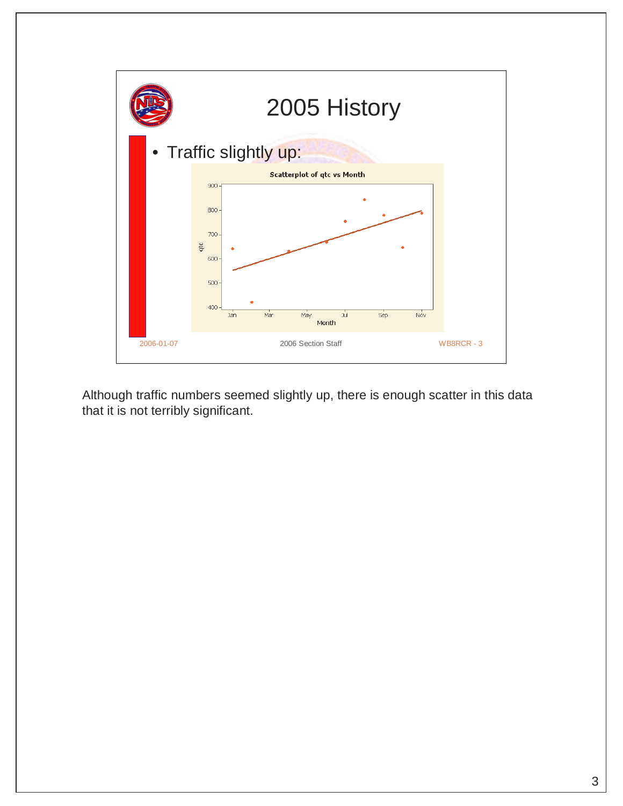

Although traffic numbers seemed slightly up, there is enough scatter in this data that it is not terribly significant.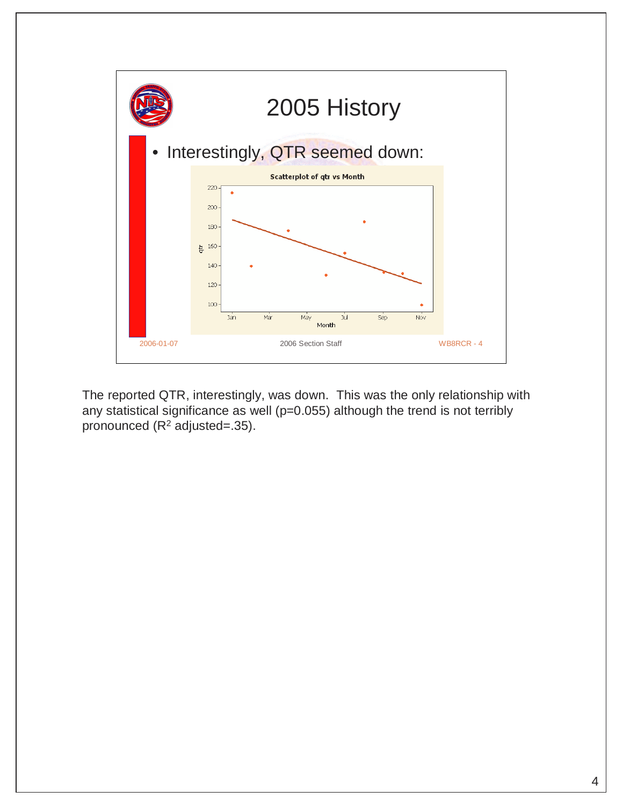

The reported QTR, interestingly, was down. This was the only relationship with any statistical significance as well (p=0.055) although the trend is not terribly pronounced  $(R^2$  adjusted=.35).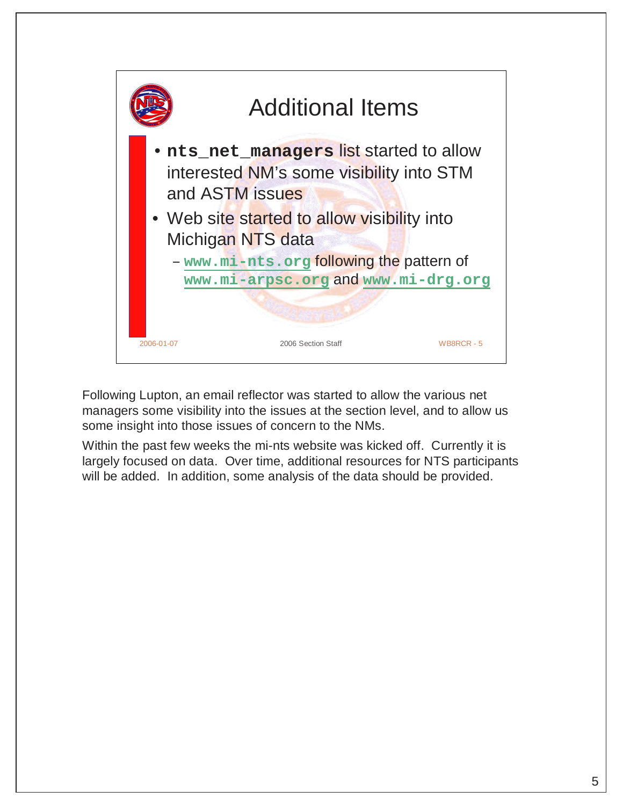

Following Lupton, an email reflector was started to allow the various net managers some visibility into the issues at the section level, and to allow us some insight into those issues of concern to the NMs.

Within the past few weeks the mi-nts website was kicked off. Currently it is largely focused on data. Over time, additional resources for NTS participants will be added. In addition, some analysis of the data should be provided.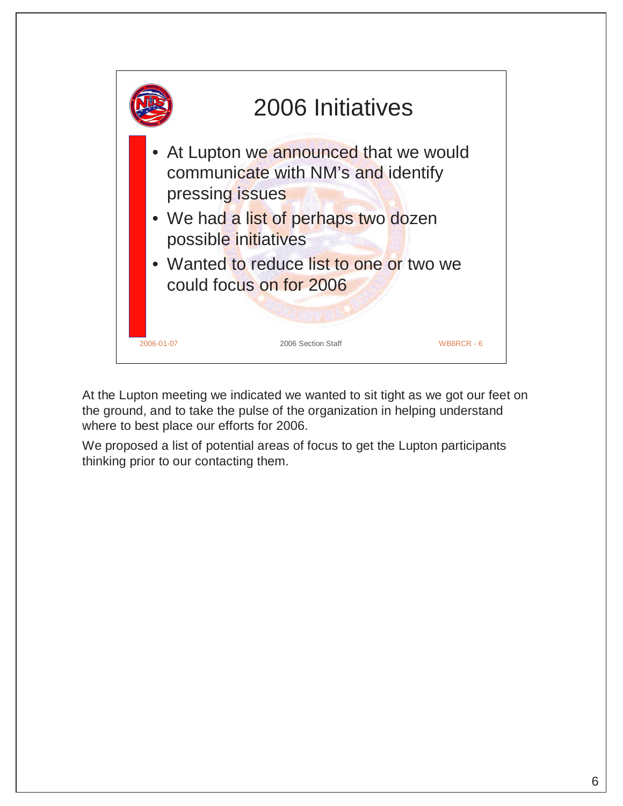

At the Lupton meeting we indicated we wanted to sit tight as we got our feet on the ground, and to take the pulse of the organization in helping understand where to best place our efforts for 2006.

We proposed a list of potential areas of focus to get the Lupton participants thinking prior to our contacting them.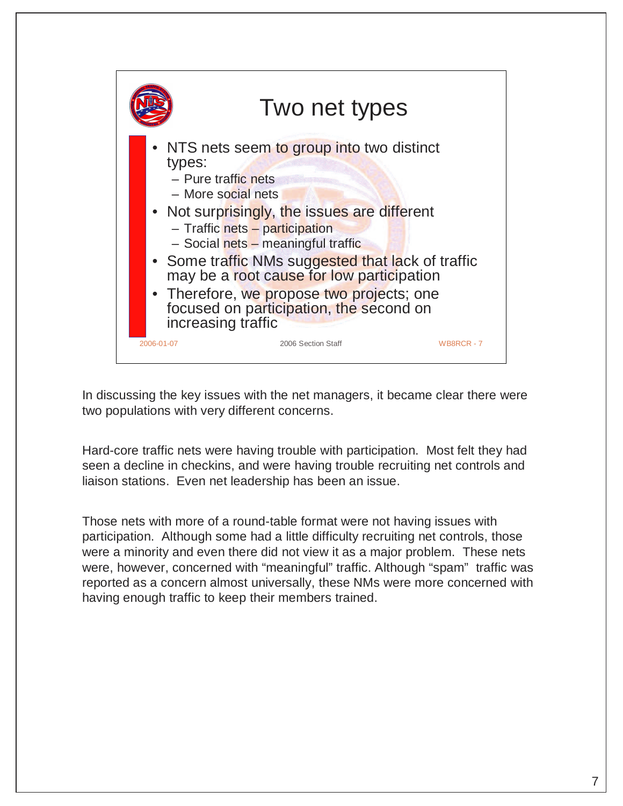

In discussing the key issues with the net managers, it became clear there were two populations with very different concerns.

Hard-core traffic nets were having trouble with participation. Most felt they had seen a decline in checkins, and were having trouble recruiting net controls and liaison stations. Even net leadership has been an issue.

Those nets with more of a round-table format were not having issues with participation. Although some had a little difficulty recruiting net controls, those were a minority and even there did not view it as a major problem. These nets were, however, concerned with "meaningful" traffic. Although "spam" traffic was reported as a concern almost universally, these NMs were more concerned with having enough traffic to keep their members trained.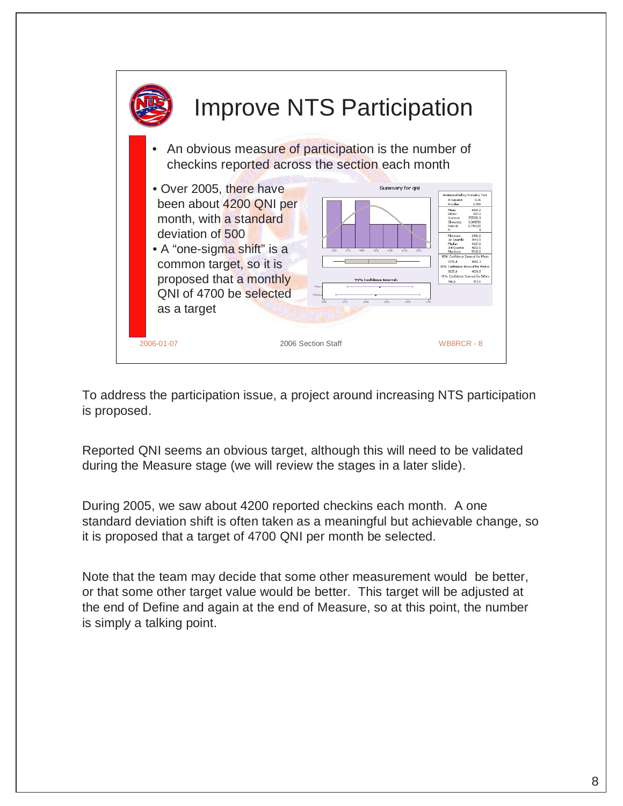

To address the participation issue, a project around increasing NTS participation is proposed.

Reported QNI seems an obvious target, although this will need to be validated during the Measure stage (we will review the stages in a later slide).

During 2005, we saw about 4200 reported checkins each month. A one standard deviation shift is often taken as a meaningful but achievable change, so it is proposed that a target of 4700 QNI per month be selected.

Note that the team may decide that some other measurement would be better, or that some other target value would be better. This target will be adjusted at the end of Define and again at the end of Measure, so at this point, the number is simply a talking point.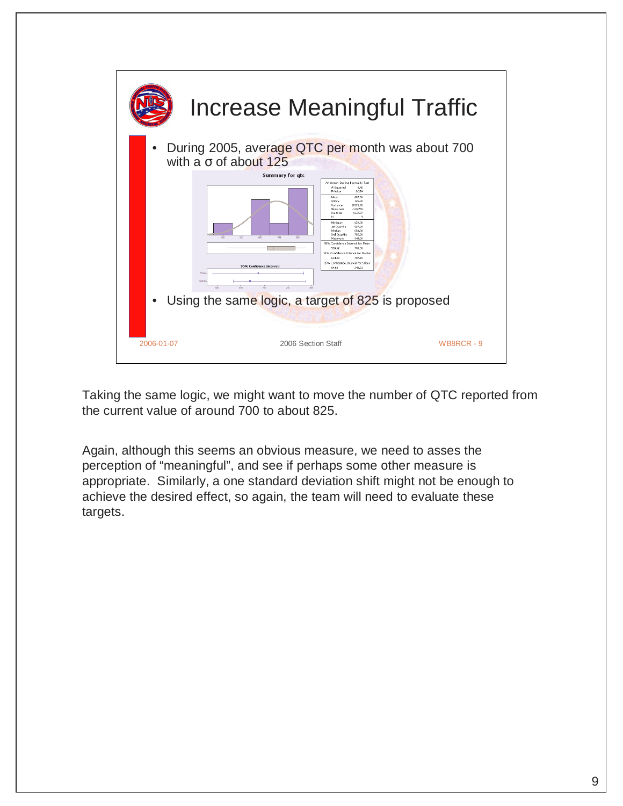

Taking the same logic, we might want to move the number of QTC reported from the current value of around 700 to about 825.

Again, although this seems an obvious measure, we need to asses the perception of "meaningful", and see if perhaps some other measure is appropriate. Similarly, a one standard deviation shift might not be enough to achieve the desired effect, so again, the team will need to evaluate these targets.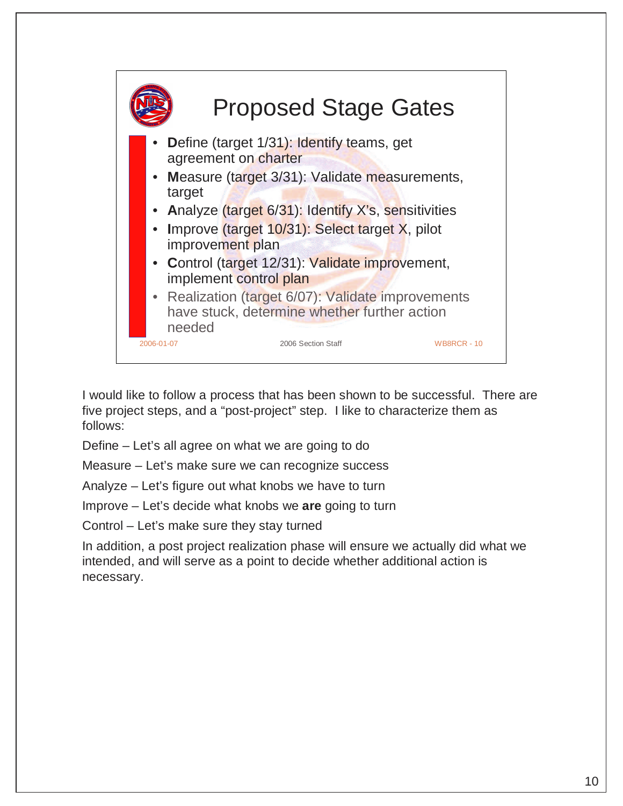

I would like to follow a process that has been shown to be successful. There are five project steps, and a "post-project" step. I like to characterize them as follows:

Define – Let's all agree on what we are going to do

Measure – Let's make sure we can recognize success

Analyze – Let's figure out what knobs we have to turn

Improve – Let's decide what knobs we **are** going to turn

Control – Let's make sure they stay turned

In addition, a post project realization phase will ensure we actually did what we intended, and will serve as a point to decide whether additional action is necessary.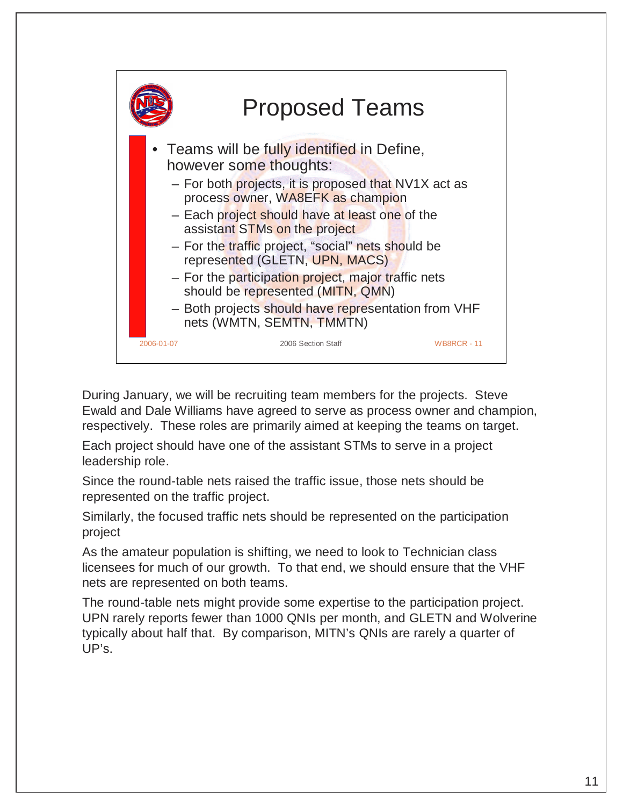

During January, we will be recruiting team members for the projects. Steve Ewald and Dale Williams have agreed to serve as process owner and champion, respectively. These roles are primarily aimed at keeping the teams on target.

Each project should have one of the assistant STMs to serve in a project leadership role.

Since the round-table nets raised the traffic issue, those nets should be represented on the traffic project.

Similarly, the focused traffic nets should be represented on the participation project

As the amateur population is shifting, we need to look to Technician class licensees for much of our growth. To that end, we should ensure that the VHF nets are represented on both teams.

The round-table nets might provide some expertise to the participation project. UPN rarely reports fewer than 1000 QNIs per month, and GLETN and Wolverine typically about half that. By comparison, MITN's QNIs are rarely a quarter of UP's.